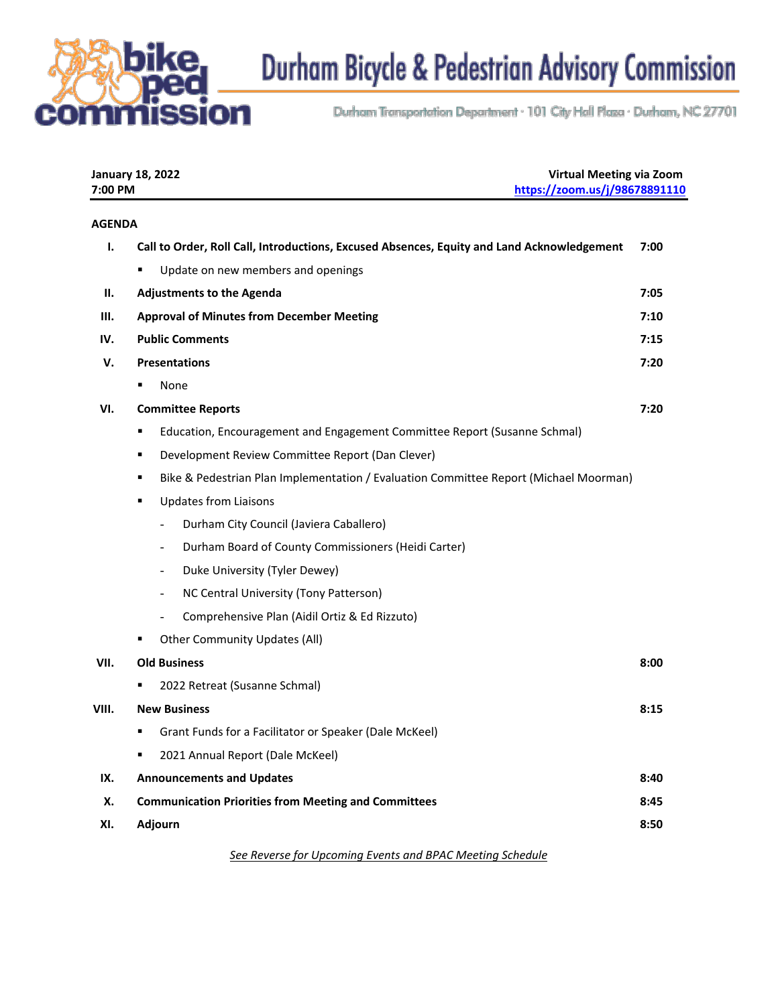

Durham Bicycle & Pedestrian Advisory Commission

Durham Transportation Department · 101 City Hall Plaza · Durham, NC 27701

| 7:00 PM        | <b>January 18, 2022</b>                                                                    | <b>Virtual Meeting via Zoom</b><br>https://zoom.us/j/98678891110 |  |
|----------------|--------------------------------------------------------------------------------------------|------------------------------------------------------------------|--|
| <b>AGENDA</b>  |                                                                                            |                                                                  |  |
| $\mathbf{I}$ . | Call to Order, Roll Call, Introductions, Excused Absences, Equity and Land Acknowledgement | 7:00                                                             |  |
|                | Update on new members and openings                                                         |                                                                  |  |
| Ш.             | <b>Adjustments to the Agenda</b>                                                           | 7:05                                                             |  |
| Ш.             | <b>Approval of Minutes from December Meeting</b>                                           | 7:10                                                             |  |
| IV.            | <b>Public Comments</b>                                                                     | 7:15                                                             |  |
| V.             | <b>Presentations</b>                                                                       | 7:20                                                             |  |
|                | None<br>٠                                                                                  |                                                                  |  |
| VI.            | <b>Committee Reports</b>                                                                   | 7:20                                                             |  |
|                | Education, Encouragement and Engagement Committee Report (Susanne Schmal)<br>٠             |                                                                  |  |
|                | Development Review Committee Report (Dan Clever)<br>٠                                      |                                                                  |  |
|                | Bike & Pedestrian Plan Implementation / Evaluation Committee Report (Michael Moorman)<br>٠ |                                                                  |  |
|                | <b>Updates from Liaisons</b><br>٠                                                          |                                                                  |  |
|                | Durham City Council (Javiera Caballero)<br>$\overline{\phantom{0}}$                        |                                                                  |  |
|                | Durham Board of County Commissioners (Heidi Carter)<br>$\overline{\phantom{a}}$            |                                                                  |  |
|                | Duke University (Tyler Dewey)<br>$\overline{\phantom{a}}$                                  |                                                                  |  |
|                | NC Central University (Tony Patterson)<br>$\overline{\phantom{0}}$                         |                                                                  |  |
|                | Comprehensive Plan (Aidil Ortiz & Ed Rizzuto)                                              |                                                                  |  |
|                | <b>Other Community Updates (All)</b>                                                       |                                                                  |  |
| VII.           | <b>Old Business</b>                                                                        | 8:00                                                             |  |
|                | 2022 Retreat (Susanne Schmal)<br>٠                                                         |                                                                  |  |
| VIII.          | <b>New Business</b>                                                                        | 8:15                                                             |  |
|                | Grant Funds for a Facilitator or Speaker (Dale McKeel)<br>٠                                |                                                                  |  |
|                | 2021 Annual Report (Dale McKeel)<br>٠                                                      |                                                                  |  |
| IX.            | <b>Announcements and Updates</b>                                                           | 8:40                                                             |  |
| Х.             | <b>Communication Priorities from Meeting and Committees</b>                                | 8:45                                                             |  |
| XI.            | <b>Adjourn</b>                                                                             | 8:50                                                             |  |
|                | See Reverse for Uncoming Events and BPAC Meeting Schedule                                  |                                                                  |  |